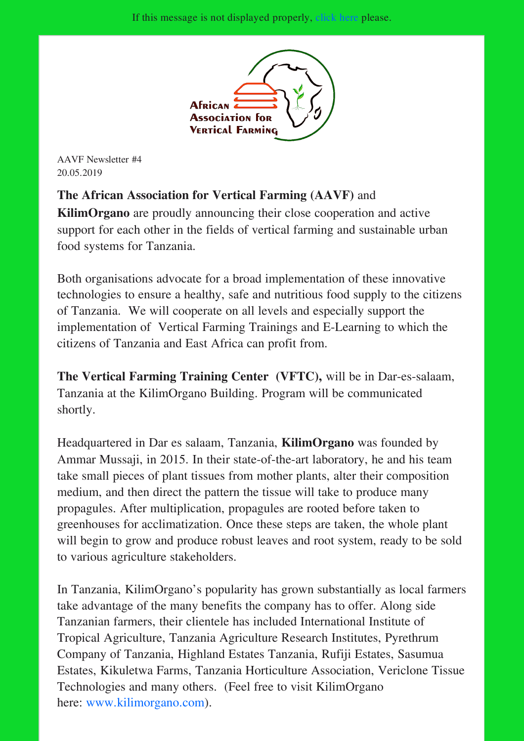

AAVF Newsletter #4 20.05.2019

The African Association for Vertical Farming (AAVF) and KilimOrgano are proudly announcing their close cooperation and active support for each other in the fields of vertical farming and sustainable urban food systems for Tanzania.

Both organisations advocate for a broad implementation of these innovative technologies to ensure a healthy, safe and nutritious food supply to the citizens of Tanzania. We will cooperate on all levels and especially support the implementation of Vertical Farming Trainings and E-Learning to which the citizens of Tanzania and East Africa can profit from.

The Vertical Farming Training Center (VFTC), will be in Dar-es-salaam, Tanzania at the KilimOrgano Building. Program will be communicated shortly.

Headquartered in Dar es salaam, Tanzania, KilimOrgano was founded by Ammar Mussaji, in 2015. In their state-of-the-art laboratory, he and his team take small pieces of plant tissues from mother plants, alter their composition medium, and then direct the pattern the tissue will take to produce many propagules. After multiplication, propagules are rooted before taken to greenhouses for acclimatization. Once these steps are taken, the whole plant will begin to grow and produce robust leaves and root system, ready to be sold to various agriculture stakeholders.

In Tanzania, KilimOrgano's popularity has grown substantially as local farmers take advantage of the many benefits the company has to offer. Along side Tanzanian farmers, their clientele has included International Institute of Tropical Agriculture, Tanzania Agriculture Research Institutes, Pyrethrum Company of Tanzania, Highland Estates Tanzania, Rufiji Estates, Sasumua Estates, Kikuletwa Farms, Tanzania Horticulture Association, Vericlone Tissue Technologies and many others. (Feel free to visit KilimOrgano here: www.kilimorgano.com).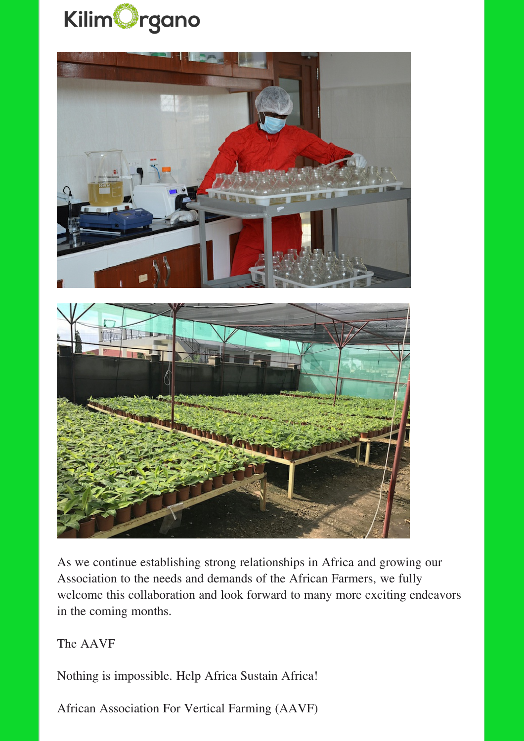



As we continue establishing strong relationships in Africa and growing our Association to the needs and demands of the African Farmers, we fully welcome this collaboration and look forward to many more exciting endeavors in the coming months.

The AAVF

Nothing is impossible. Help Africa Sustain Africa!

African Association For Vertical Farming (AAVF)